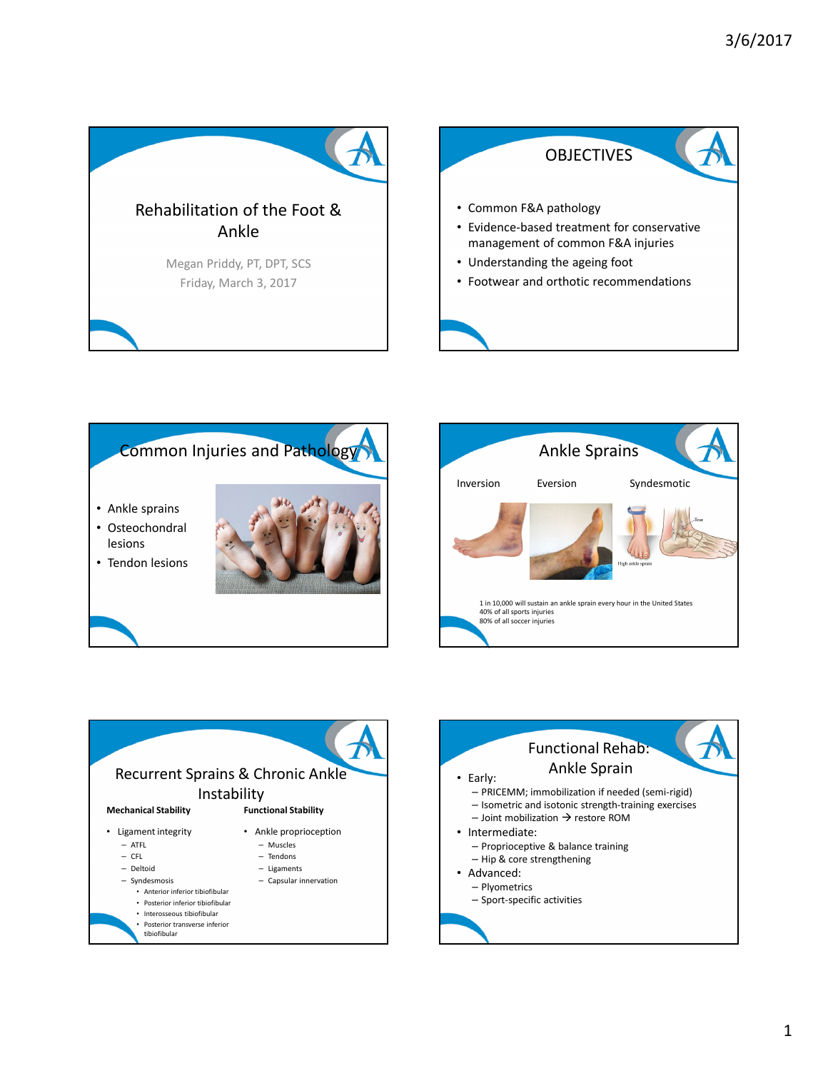







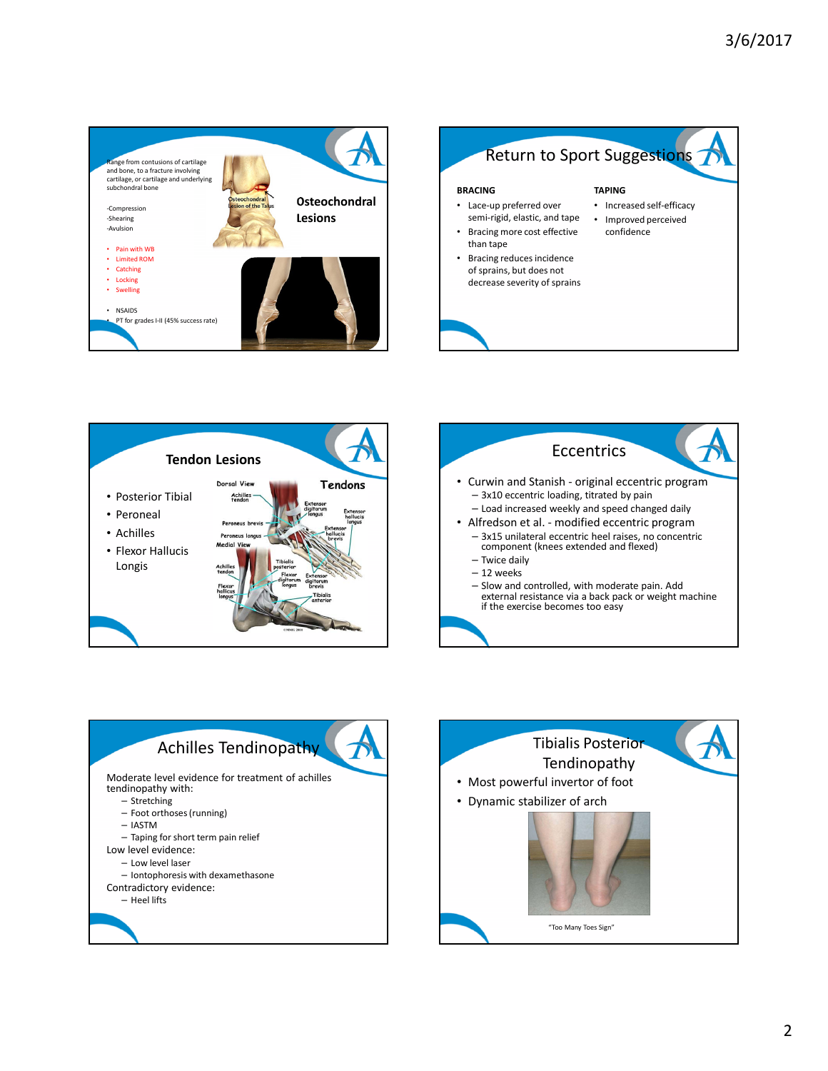







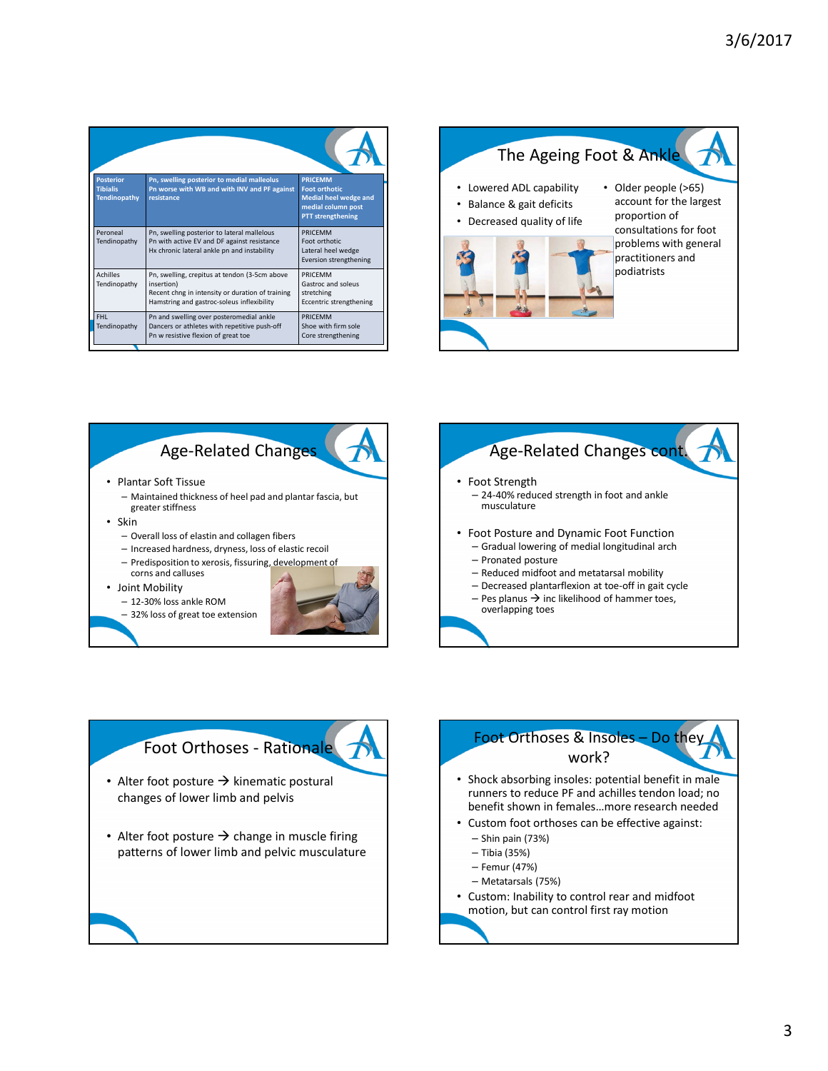| <b>Posterior</b><br><b>Tibialis</b><br><b>Tendinopathy</b> | Pn, swelling posterior to medial malleolus<br>Pn worse with WB and with INV and PF against<br>resistance                                                      | <b>PRICEMM</b><br><b>Foot orthotic</b><br><b>Medial heel wedge and</b><br>medial column post<br><b>PTT</b> strengthening |
|------------------------------------------------------------|---------------------------------------------------------------------------------------------------------------------------------------------------------------|--------------------------------------------------------------------------------------------------------------------------|
| Peroneal<br>Tendinopathy                                   | Pn, swelling posterior to lateral mallelous<br>Pn with active EV and DF against resistance<br>Hx chronic lateral ankle pn and instability                     | PRICEMM<br>Foot orthotic<br>Lateral heel wedge<br>Eversion strengthening                                                 |
| <b>Achilles</b><br>Tendinopathy                            | Pn, swelling, crepitus at tendon (3-5cm above<br>insertion)<br>Recent chng in intensity or duration of training<br>Hamstring and gastroc-soleus inflexibility | PRICEMM<br>Gastroc and soleus<br>stretching<br>Eccentric strengthening                                                   |
| FHL.<br>Tendinopathy                                       | Pn and swelling over posteromedial ankle<br>Dancers or athletes with repetitive push-off<br>Pn w resistive flexion of great toe                               | PRICEMM<br>Shoe with firm sole<br>Core strengthening                                                                     |









- Shock absorbing insoles: potential benefit in male runners to reduce PF and achilles tendon load; no benefit shown in females…more research needed
- Custom foot orthoses can be effective against:
	- Shin pain (73%)
	- Tibia (35%)
	- Femur (47%)
	- Metatarsals (75%)
- Custom: Inability to control rear and midfoot motion, but can control first ray motion